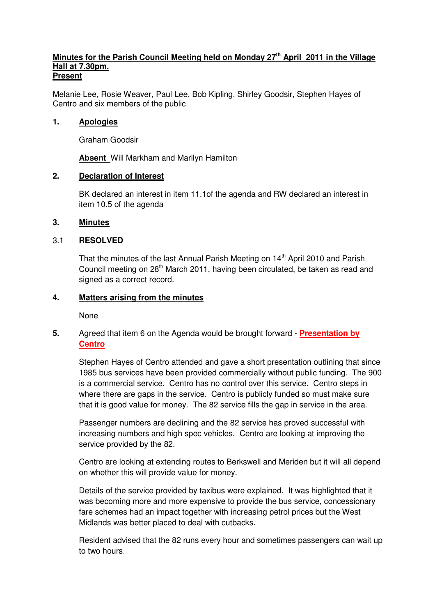#### **Minutes for the Parish Council Meeting held on Monday 27th April 2011 in the Village Hall at 7.30pm. Present**

Melanie Lee, Rosie Weaver, Paul Lee, Bob Kipling, Shirley Goodsir, Stephen Hayes of Centro and six members of the public

### **1. Apologies**

Graham Goodsir

**Absent** Will Markham and Marilyn Hamilton

# **2. Declaration of Interest**

 BK declared an interest in item 11.1of the agenda and RW declared an interest in item 10.5 of the agenda

# **3. Minutes**

# 3.1 **RESOLVED**

That the minutes of the last Annual Parish Meeting on 14<sup>th</sup> April 2010 and Parish Council meeting on 28<sup>th</sup> March 2011, having been circulated, be taken as read and signed as a correct record.

# **4. Matters arising from the minutes**

None

# **5.** Agreed that item 6 on the Agenda would be brought forward - **Presentation by Centro**

 Stephen Hayes of Centro attended and gave a short presentation outlining that since 1985 bus services have been provided commercially without public funding. The 900 is a commercial service. Centro has no control over this service. Centro steps in where there are gaps in the service. Centro is publicly funded so must make sure that it is good value for money. The 82 service fills the gap in service in the area.

 Passenger numbers are declining and the 82 service has proved successful with increasing numbers and high spec vehicles. Centro are looking at improving the service provided by the 82.

 Centro are looking at extending routes to Berkswell and Meriden but it will all depend on whether this will provide value for money.

 Details of the service provided by taxibus were explained. It was highlighted that it was becoming more and more expensive to provide the bus service, concessionary fare schemes had an impact together with increasing petrol prices but the West Midlands was better placed to deal with cutbacks.

 Resident advised that the 82 runs every hour and sometimes passengers can wait up to two hours.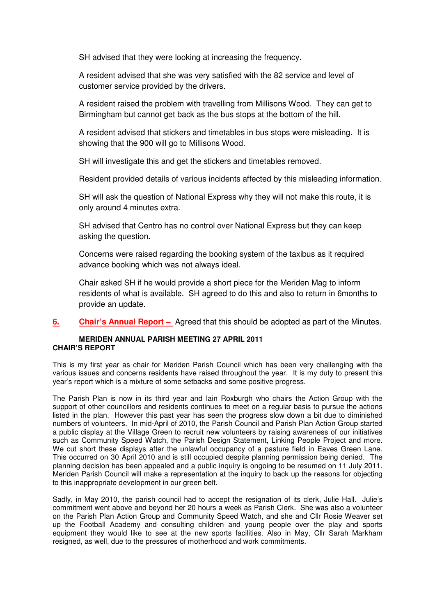SH advised that they were looking at increasing the frequency.

 A resident advised that she was very satisfied with the 82 service and level of customer service provided by the drivers.

 A resident raised the problem with travelling from Millisons Wood. They can get to Birmingham but cannot get back as the bus stops at the bottom of the hill.

 A resident advised that stickers and timetables in bus stops were misleading. It is showing that the 900 will go to Millisons Wood.

SH will investigate this and get the stickers and timetables removed.

Resident provided details of various incidents affected by this misleading information.

 SH will ask the question of National Express why they will not make this route, it is only around 4 minutes extra.

 SH advised that Centro has no control over National Express but they can keep asking the question.

 Concerns were raised regarding the booking system of the taxibus as it required advance booking which was not always ideal.

 Chair asked SH if he would provide a short piece for the Meriden Mag to inform residents of what is available. SH agreed to do this and also to return in 6months to provide an update.

**6. Chair's Annual Report –** Agreed that this should be adopted as part of the Minutes.

#### **MERIDEN ANNUAL PARISH MEETING 27 APRIL 2011 CHAIR'S REPORT**

This is my first year as chair for Meriden Parish Council which has been very challenging with the various issues and concerns residents have raised throughout the year. It is my duty to present this year's report which is a mixture of some setbacks and some positive progress.

The Parish Plan is now in its third year and Iain Roxburgh who chairs the Action Group with the support of other councillors and residents continues to meet on a regular basis to pursue the actions listed in the plan. However this past year has seen the progress slow down a bit due to diminished numbers of volunteers. In mid-April of 2010, the Parish Council and Parish Plan Action Group started a public display at the Village Green to recruit new volunteers by raising awareness of our initiatives such as Community Speed Watch, the Parish Design Statement, Linking People Project and more. We cut short these displays after the unlawful occupancy of a pasture field in Eaves Green Lane. This occurred on 30 April 2010 and is still occupied despite planning permission being denied. The planning decision has been appealed and a public inquiry is ongoing to be resumed on 11 July 2011. Meriden Parish Council will make a representation at the inquiry to back up the reasons for objecting to this inappropriate development in our green belt.

Sadly, in May 2010, the parish council had to accept the resignation of its clerk, Julie Hall. Julie's commitment went above and beyond her 20 hours a week as Parish Clerk. She was also a volunteer on the Parish Plan Action Group and Community Speed Watch, and she and Cllr Rosie Weaver set up the Football Academy and consulting children and young people over the play and sports equipment they would like to see at the new sports facilities. Also in May, Cllr Sarah Markham resigned, as well, due to the pressures of motherhood and work commitments.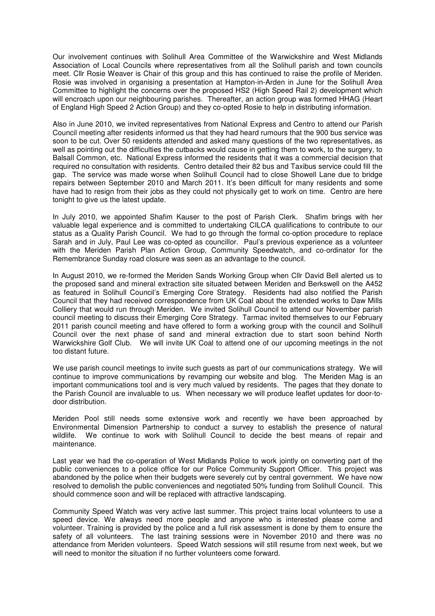Our involvement continues with Solihull Area Committee of the Warwickshire and West Midlands Association of Local Councils where representatives from all the Solihull parish and town councils meet. Cllr Rosie Weaver is Chair of this group and this has continued to raise the profile of Meriden. Rosie was involved in organising a presentation at Hampton-in-Arden in June for the Solihull Area Committee to highlight the concerns over the proposed HS2 (High Speed Rail 2) development which will encroach upon our neighbouring parishes. Thereafter, an action group was formed HHAG (Heart of England High Speed 2 Action Group) and they co-opted Rosie to help in distributing information.

Also in June 2010, we invited representatives from National Express and Centro to attend our Parish Council meeting after residents informed us that they had heard rumours that the 900 bus service was soon to be cut. Over 50 residents attended and asked many questions of the two representatives, as well as pointing out the difficulties the cutbacks would cause in getting them to work, to the surgery, to Balsall Common, etc. National Express informed the residents that it was a commercial decision that required no consultation with residents. Centro detailed their 82 bus and Taxibus service could fill the gap. The service was made worse when Solihull Council had to close Showell Lane due to bridge repairs between September 2010 and March 2011. It's been difficult for many residents and some have had to resign from their jobs as they could not physically get to work on time. Centro are here tonight to give us the latest update.

In July 2010, we appointed Shafim Kauser to the post of Parish Clerk. Shafim brings with her valuable legal experience and is committed to undertaking CILCA qualifications to contribute to our status as a Quality Parish Council. We had to go through the formal co-option procedure to replace Sarah and in July, Paul Lee was co-opted as councillor. Paul's previous experience as a volunteer with the Meriden Parish Plan Action Group, Community Speedwatch, and co-ordinator for the Remembrance Sunday road closure was seen as an advantage to the council.

In August 2010, we re-formed the Meriden Sands Working Group when Cllr David Bell alerted us to the proposed sand and mineral extraction site situated between Meriden and Berkswell on the A452 as featured in Solihull Council's Emerging Core Strategy. Residents had also notified the Parish Council that they had received correspondence from UK Coal about the extended works to Daw Mills Colliery that would run through Meriden. We invited Solihull Council to attend our November parish council meeting to discuss their Emerging Core Strategy. Tarmac invited themselves to our February 2011 parish council meeting and have offered to form a working group with the council and Solihull Council over the next phase of sand and mineral extraction due to start soon behind North Warwickshire Golf Club. We will invite UK Coal to attend one of our upcoming meetings in the not too distant future.

We use parish council meetings to invite such guests as part of our communications strategy. We will continue to improve communications by revamping our website and blog. The Meriden Mag is an important communications tool and is very much valued by residents. The pages that they donate to the Parish Council are invaluable to us. When necessary we will produce leaflet updates for door-todoor distribution.

Meriden Pool still needs some extensive work and recently we have been approached by Environmental Dimension Partnership to conduct a survey to establish the presence of natural wildlife. We continue to work with Solihull Council to decide the best means of repair and maintenance.

Last year we had the co-operation of West Midlands Police to work jointly on converting part of the public conveniences to a police office for our Police Community Support Officer. This project was abandoned by the police when their budgets were severely cut by central government. We have now resolved to demolish the public conveniences and negotiated 50% funding from Solihull Council. This should commence soon and will be replaced with attractive landscaping.

Community Speed Watch was very active last summer. This project trains local volunteers to use a speed device. We always need more people and anyone who is interested please come and volunteer. Training is provided by the police and a full risk assessment is done by them to ensure the safety of all volunteers. The last training sessions were in November 2010 and there was no attendance from Meriden volunteers. Speed Watch sessions will still resume from next week, but we will need to monitor the situation if no further volunteers come forward.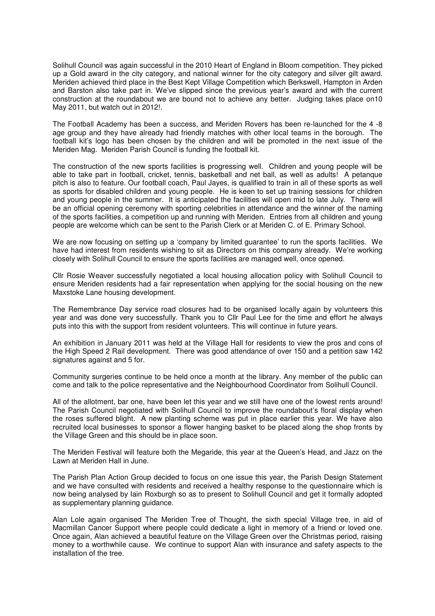Solihull Council was again successful in the 2010 Heart of England in Bloom competition. They picked up a Gold award in the city category, and national winner for the city category and silver gilt award. Meriden achieved third place in the Best Kept Village Competition which Berkswell, Hampton in Arden and Barston also take part in. We've slipped since the previous year's award and with the current construction at the roundabout we are bound not to achieve any better. Judging takes place on10 May 2011, but watch out in 2012!.

The Football Academy has been a success, and Meriden Rovers has been re-launched for the 4 -8 age group and they have already had friendly matches with other local teams in the borough. The football kit's logo has been chosen by the children and will be promoted in the next issue of the Meriden Mag. Meriden Parish Council is funding the football kit.

The construction of the new sports facilities is progressing well. Children and young people will be able to take part in football, cricket, tennis, basketball and net ball, as well as adults! A petanque pitch is also to feature. Our football coach, Paul Jayes, is qualified to train in all of these sports as well as sports for disabled children and young people. He is keen to set up training sessions for children and young people in the summer. It is anticipated the facilities will open mid to late July. There will be an official opening ceremony with sporting celebrities in attendance and the winner of the naming of the sports facilities, a competition up and running with Meriden. Entries from all children and young people are welcome which can be sent to the Parish Clerk or at Meriden C. of E. Primary School.

We are now focusing on setting up a 'company by limited guarantee' to run the sports facilities. We have had interest from residents wishing to sit as Directors on this company already. We're working closely with Solihull Council to ensure the sports facilities are managed well, once opened.

Cllr Rosie Weaver successfully negotiated a local housing allocation policy with Solihull Council to ensure Meriden residents had a fair representation when applying for the social housing on the new Maxstoke Lane housing development.

The Remembrance Day service road closures had to be organised locally again by volunteers this year and was done very successfully. Thank you to Cllr Paul Lee for the time and effort he always puts into this with the support from resident volunteers. This will continue in future years.

An exhibition in January 2011 was held at the Village Hall for residents to view the pros and cons of the High Speed 2 Rail development. There was good attendance of over 150 and a petition saw 142 signatures against and 5 for.

Community surgeries continue to be held once a month at the library. Any member of the public can come and talk to the police representative and the Neighbourhood Coordinator from Solihull Council.

All of the allotment, bar one, have been let this year and we still have one of the lowest rents around! The Parish Council negotiated with Solihull Council to improve the roundabout's floral display when the roses suffered blight. A new planting scheme was put in place earlier this year. We have also recruited local businesses to sponsor a flower hanging basket to be placed along the shop fronts by the Village Green and this should be in place soon.

The Meriden Festival will feature both the Megaride, this year at the Queen's Head, and Jazz on the Lawn at Meriden Hall in June.

The Parish Plan Action Group decided to focus on one issue this year, the Parish Design Statement and we have consulted with residents and received a healthy response to the questionnaire which is now being analysed by Iain Roxburgh so as to present to Solihull Council and get it formally adopted as supplementary planning guidance.

Alan Lole again organised The Meriden Tree of Thought, the sixth special Village tree, in aid of Macmillan Cancer Support where people could dedicate a light in memory of a friend or loved one. Once again, Alan achieved a beautiful feature on the Village Green over the Christmas period, raising money to a worthwhile cause. We continue to support Alan with insurance and safety aspects to the installation of the tree.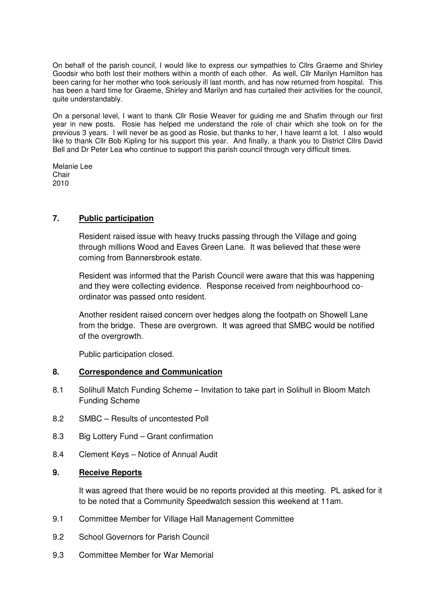On behalf of the parish council, I would like to express our sympathies to Cllrs Graeme and Shirley Goodsir who both lost their mothers within a month of each other. As well, Cllr Marilyn Hamilton has been caring for her mother who took seriously ill last month, and has now returned from hospital. This has been a hard time for Graeme, Shirley and Marilyn and has curtailed their activities for the council, quite understandably.

On a personal level, I want to thank Cllr Rosie Weaver for guiding me and Shafim through our first year in new posts. Rosie has helped me understand the role of chair which she took on for the previous 3 years. I will never be as good as Rosie, but thanks to her, I have learnt a lot. I also would like to thank Cllr Bob Kipling for his support this year. And finally, a thank you to District Cllrs David Bell and Dr Peter Lea who continue to support this parish council through very difficult times.

Melanie Lee Chair 2010

# **7. Public participation**

Resident raised issue with heavy trucks passing through the Village and going through millions Wood and Eaves Green Lane. It was believed that these were coming from Bannersbrook estate.

 Resident was informed that the Parish Council were aware that this was happening and they were collecting evidence. Response received from neighbourhood coordinator was passed onto resident.

 Another resident raised concern over hedges along the footpath on Showell Lane from the bridge. These are overgrown. It was agreed that SMBC would be notified of the overgrowth.

Public participation closed.

#### **8. Correspondence and Communication**

- 8.1 Solihull Match Funding Scheme Invitation to take part in Solihull in Bloom Match Funding Scheme
- 8.2 SMBC Results of uncontested Poll
- 8.3 Big Lottery Fund Grant confirmation
- 8.4 Clement Keys Notice of Annual Audit

#### **9. Receive Reports**

It was agreed that there would be no reports provided at this meeting. PL asked for it to be noted that a Community Speedwatch session this weekend at 11am.

- 9.1 Committee Member for Village Hall Management Committee
- 9.2 School Governors for Parish Council
- 9.3 Committee Member for War Memorial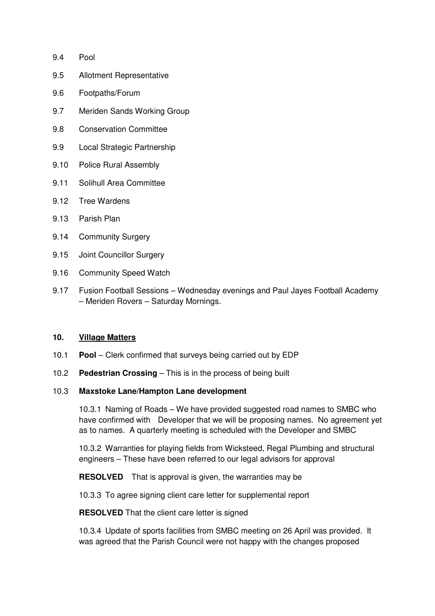- 9.4 Pool
- 9.5 Allotment Representative
- 9.6 Footpaths/Forum
- 9.7 Meriden Sands Working Group
- 9.8 Conservation Committee
- 9.9 Local Strategic Partnership
- 9.10 Police Rural Assembly
- 9.11 Solihull Area Committee
- 9.12 Tree Wardens
- 9.13 Parish Plan
- 9.14 Community Surgery
- 9.15 Joint Councillor Surgery
- 9.16 Community Speed Watch
- 9.17 Fusion Football Sessions Wednesday evenings and Paul Jayes Football Academy – Meriden Rovers – Saturday Mornings.

#### **10. Village Matters**

- 10.1 **Pool**  Clerk confirmed that surveys being carried out by EDP
- 10.2 **Pedestrian Crossing** This is in the process of being built

#### 10.3 **Maxstoke Lane/Hampton Lane development**

 10.3.1 Naming of Roads – We have provided suggested road names to SMBC who have confirmed with Developer that we will be proposing names. No agreement yet as to names. A quarterly meeting is scheduled with the Developer and SMBC

 10.3.2 Warranties for playing fields from Wicksteed, Regal Plumbing and structural engineers – These have been referred to our legal advisors for approval

**RESOLVED** That is approval is given, the warranties may be

10.3.3 To agree signing client care letter for supplemental report

**RESOLVED** That the client care letter is signed

 10.3.4 Update of sports facilities from SMBC meeting on 26 April was provided. It was agreed that the Parish Council were not happy with the changes proposed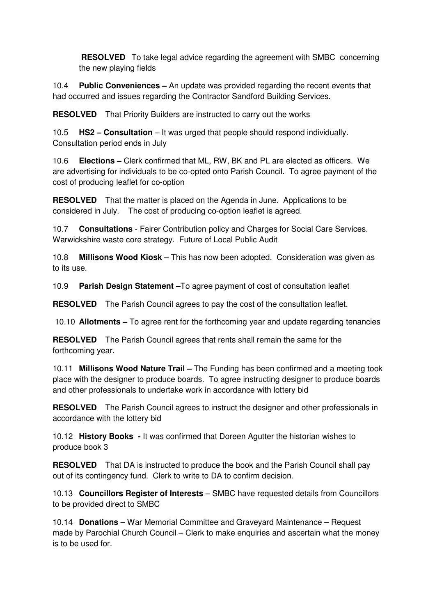**RESOLVED** To take legal advice regarding the agreement with SMBC concerning the new playing fields

10.4 **Public Conveniences –** An update was provided regarding the recent events that had occurred and issues regarding the Contractor Sandford Building Services.

**RESOLVED** That Priority Builders are instructed to carry out the works

10.5 **HS2 – Consultation** – It was urged that people should respond individually. Consultation period ends in July

10.6 **Elections –** Clerk confirmed that ML, RW, BK and PL are elected as officers. We are advertising for individuals to be co-opted onto Parish Council. To agree payment of the cost of producing leaflet for co-option

**RESOLVED** That the matter is placed on the Agenda in June. Applications to be considered in July. The cost of producing co-option leaflet is agreed.

10.7 **Consultations** - Fairer Contribution policy and Charges for Social Care Services. Warwickshire waste core strategy. Future of Local Public Audit

10.8 **Millisons Wood Kiosk –** This has now been adopted. Consideration was given as to its use.

10.9 **Parish Design Statement –**To agree payment of cost of consultation leaflet

**RESOLVED** The Parish Council agrees to pay the cost of the consultation leaflet.

10.10 **Allotments –** To agree rent for the forthcoming year and update regarding tenancies

**RESOLVED** The Parish Council agrees that rents shall remain the same for the forthcoming year.

10.11 **Millisons Wood Nature Trail –** The Funding has been confirmed and a meeting took place with the designer to produce boards. To agree instructing designer to produce boards and other professionals to undertake work in accordance with lottery bid

**RESOLVED** The Parish Council agrees to instruct the designer and other professionals in accordance with the lottery bid

10.12 **History Books -** It was confirmed that Doreen Agutter the historian wishes to produce book 3

**RESOLVED** That DA is instructed to produce the book and the Parish Council shall pay out of its contingency fund. Clerk to write to DA to confirm decision.

10.13 **Councillors Register of Interests** – SMBC have requested details from Councillors to be provided direct to SMBC

10.14 **Donations –** War Memorial Committee and Graveyard Maintenance – Request made by Parochial Church Council – Clerk to make enquiries and ascertain what the money is to be used for.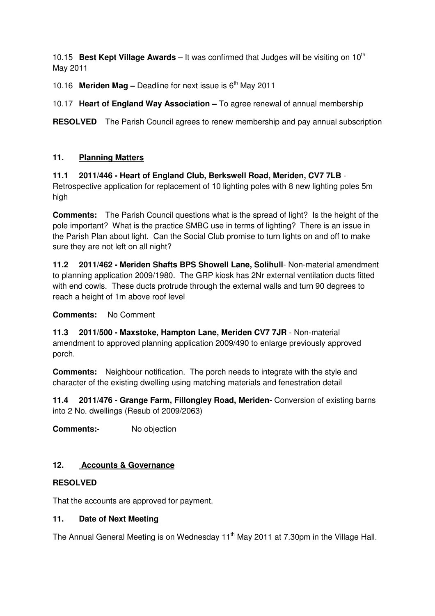10.15 **Best Kept Village Awards** – It was confirmed that Judges will be visiting on 10<sup>th</sup> May 2011

10.16 **Meriden Mag –** Deadline for next issue is 6th May 2011

10.17 **Heart of England Way Association –** To agree renewal of annual membership

**RESOLVED** The Parish Council agrees to renew membership and pay annual subscription

# **11. Planning Matters**

# **11.1 2011/446 - Heart of England Club, Berkswell Road, Meriden, CV7 7LB** -

Retrospective application for replacement of 10 lighting poles with 8 new lighting poles 5m high

**Comments:** The Parish Council questions what is the spread of light? Is the height of the pole important? What is the practice SMBC use in terms of lighting? There is an issue in the Parish Plan about light. Can the Social Club promise to turn lights on and off to make sure they are not left on all night?

**11.2 2011/462 - Meriden Shafts BPS Showell Lane, Solihull**- Non-material amendment to planning application 2009/1980. The GRP kiosk has 2Nr external ventilation ducts fitted with end cowls. These ducts protrude through the external walls and turn 90 degrees to reach a height of 1m above roof level

**Comments:** No Comment

**11.3 2011/500 - Maxstoke, Hampton Lane, Meriden CV7 7JR** - Non-material amendment to approved planning application 2009/490 to enlarge previously approved porch.

**Comments:** Neighbour notification. The porch needs to integrate with the style and character of the existing dwelling using matching materials and fenestration detail

**11.4 2011/476 - Grange Farm, Fillongley Road, Meriden-** Conversion of existing barns into 2 No. dwellings (Resub of 2009/2063)

**Comments:-** No objection

# **12. Accounts & Governance**

# **RESOLVED**

That the accounts are approved for payment.

# **11. Date of Next Meeting**

The Annual General Meeting is on Wednesday  $11<sup>th</sup>$  May 2011 at 7.30pm in the Village Hall.